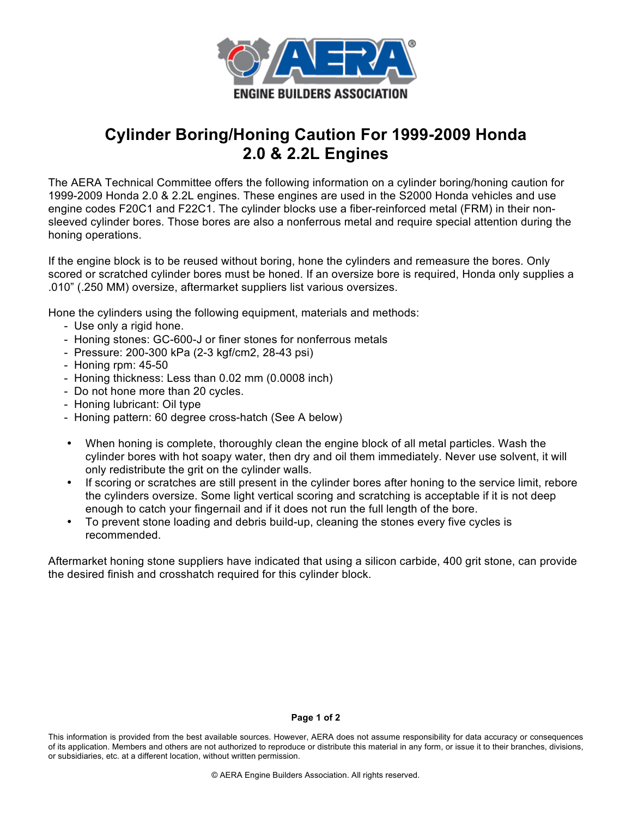

## **Cylinder Boring/Honing Caution For 1999-2009 Honda 2.0 & 2.2L Engines**

The AERA Technical Committee offers the following information on a cylinder boring/honing caution for 1999-2009 Honda 2.0 & 2.2L engines. These engines are used in the S2000 Honda vehicles and use engine codes F20C1 and F22C1. The cylinder blocks use a fiber-reinforced metal (FRM) in their nonsleeved cylinder bores. Those bores are also a nonferrous metal and require special attention during the honing operations.

If the engine block is to be reused without boring, hone the cylinders and remeasure the bores. Only scored or scratched cylinder bores must be honed. If an oversize bore is required, Honda only supplies a .010" (.250 MM) oversize, aftermarket suppliers list various oversizes.

Hone the cylinders using the following equipment, materials and methods:

- Use only a rigid hone.
- Honing stones: GC-600-J or finer stones for nonferrous metals
- Pressure: 200-300 kPa (2-3 kgf/cm2, 28-43 psi)
- Honing rpm: 45-50
- Honing thickness: Less than 0.02 mm (0.0008 inch)
- Do not hone more than 20 cycles.
- Honing lubricant: Oil type
- Honing pattern: 60 degree cross-hatch (See A below)
- When honing is complete, thoroughly clean the engine block of all metal particles. Wash the cylinder bores with hot soapy water, then dry and oil them immediately. Never use solvent, it will only redistribute the grit on the cylinder walls.
- If scoring or scratches are still present in the cylinder bores after honing to the service limit, rebore the cylinders oversize. Some light vertical scoring and scratching is acceptable if it is not deep enough to catch your fingernail and if it does not run the full length of the bore.
- To prevent stone loading and debris build-up, cleaning the stones every five cycles is recommended.

Aftermarket honing stone suppliers have indicated that using a silicon carbide, 400 grit stone, can provide the desired finish and crosshatch required for this cylinder block.

## **Page 1 of 2**

This information is provided from the best available sources. However, AERA does not assume responsibility for data accuracy or consequences of its application. Members and others are not authorized to reproduce or distribute this material in any form, or issue it to their branches, divisions, or subsidiaries, etc. at a different location, without written permission.